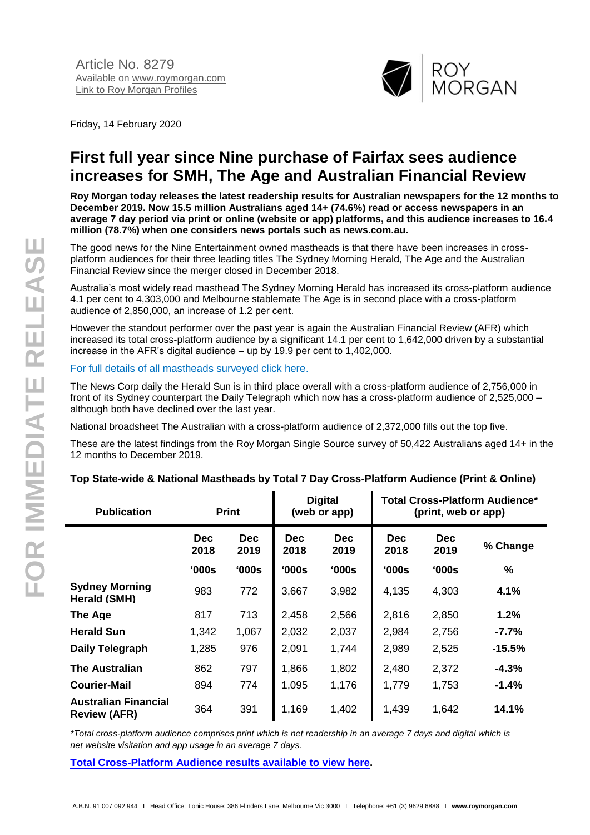

Friday, 14 February 2020

# **First full year since Nine purchase of Fairfax sees audience increases for SMH, The Age and Australian Financial Review**

**Roy Morgan today releases the latest readership results for Australian newspapers for the 12 months to December 2019. Now 15.5 million Australians aged 14+ (74.6%) read or access newspapers in an average 7 day period via print or online (website or app) platforms, and this audience increases to 16.4 million (78.7%) when one considers news portals such as news.com.au.**

The good news for the Nine Entertainment owned mastheads is that there have been increases in crossplatform audiences for their three leading titles The Sydney Morning Herald, The Age and the Australian Financial Review since the merger closed in December 2018.

Australia's most widely read masthead The Sydney Morning Herald has increased its cross-platform audience 4.1 per cent to 4,303,000 and Melbourne stablemate The Age is in second place with a cross-platform audience of 2,850,000, an increase of 1.2 per cent.

However the standout performer over the past year is again the Australian Financial Review (AFR) which increased its total cross-platform audience by a significant 14.1 per cent to 1,642,000 driven by a substantial increase in the AFR's digital audience – up by 19.9 per cent to 1,402,000.

[For full details of all mastheads surveyed click here.](http://www.roymorgan.com/industries/media/readership/newspaper-readership)

The News Corp daily the Herald Sun is in third place overall with a cross-platform audience of 2,756,000 in front of its Sydney counterpart the Daily Telegraph which now has a cross-platform audience of 2,525,000 – although both have declined over the last year.

National broadsheet The Australian with a cross-platform audience of 2,372,000 fills out the top five.

These are the latest findings from the Roy Morgan Single Source survey of 50,422 Australians aged 14+ in the 12 months to December 2019.

| <b>Publication</b>                                 | <b>Print</b>       |                    | <b>Digital</b><br>(web or app) |                    | <b>Total Cross-Platform Audience*</b><br>(print, web or app) |                    |          |
|----------------------------------------------------|--------------------|--------------------|--------------------------------|--------------------|--------------------------------------------------------------|--------------------|----------|
|                                                    | <b>Dec</b><br>2018 | <b>Dec</b><br>2019 | <b>Dec</b><br>2018             | <b>Dec</b><br>2019 | <b>Dec</b><br>2018                                           | <b>Dec</b><br>2019 | % Change |
|                                                    | $^{\circ}000s$     | '000s              | 000s                           | $^{\circ}000s$     | '000s                                                        | '000s              | %        |
| <b>Sydney Morning</b><br>Herald (SMH)              | 983                | 772                | 3,667                          | 3,982              | 4,135                                                        | 4,303              | 4.1%     |
| The Age                                            | 817                | 713                | 2,458                          | 2,566              | 2,816                                                        | 2,850              | 1.2%     |
| <b>Herald Sun</b>                                  | 1,342              | 1,067              | 2,032                          | 2,037              | 2,984                                                        | 2,756              | $-7.7%$  |
| Daily Telegraph                                    | 1,285              | 976                | 2,091                          | 1,744              | 2,989                                                        | 2,525              | $-15.5%$ |
| <b>The Australian</b>                              | 862                | 797                | 1,866                          | 1,802              | 2,480                                                        | 2,372              | $-4.3%$  |
| <b>Courier-Mail</b>                                | 894                | 774                | 1,095                          | 1,176              | 1,779                                                        | 1,753              | $-1.4%$  |
| <b>Australian Financial</b><br><b>Review (AFR)</b> | 364                | 391                | 1,169                          | 1,402              | 1,439                                                        | 1,642              | 14.1%    |

#### **Top State-wide & National Mastheads by Total 7 Day Cross-Platform Audience (Print & Online)**

*\*Total cross-platform audience comprises print which is net readership in an average 7 days and digital which is net website visitation and app usage in an average 7 days.*

**[Total Cross-Platform Audience results available to view here.](http://www.roymorgan.com/industries/media/readership/cross-platform-audiences-newspapers)**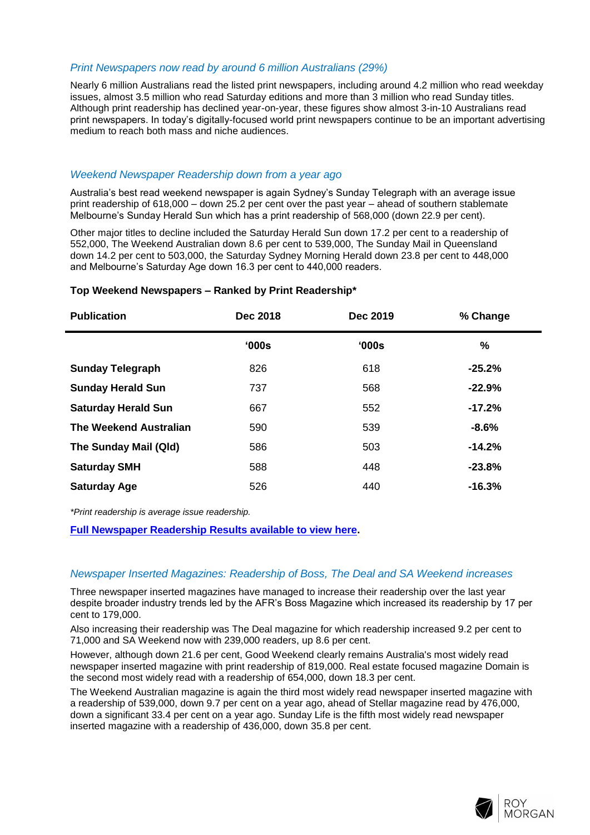#### *Print Newspapers now read by around 6 million Australians (29%)*

Nearly 6 million Australians read the listed print newspapers, including around 4.2 million who read weekday issues, almost 3.5 million who read Saturday editions and more than 3 million who read Sunday titles. Although print readership has declined year-on-year, these figures show almost 3-in-10 Australians read print newspapers. In today's digitally-focused world print newspapers continue to be an important advertising medium to reach both mass and niche audiences.

#### *Weekend Newspaper Readership down from a year ago*

Australia's best read weekend newspaper is again Sydney's Sunday Telegraph with an average issue print readership of 618,000 – down 25.2 per cent over the past year – ahead of southern stablemate Melbourne's Sunday Herald Sun which has a print readership of 568,000 (down 22.9 per cent).

Other major titles to decline included the Saturday Herald Sun down 17.2 per cent to a readership of 552,000, The Weekend Australian down 8.6 per cent to 539,000, The Sunday Mail in Queensland down 14.2 per cent to 503,000, the Saturday Sydney Morning Herald down 23.8 per cent to 448,000 and Melbourne's Saturday Age down 16.3 per cent to 440,000 readers.

| Top Weekend Newspapers - Ranked by Print Readership* |  |
|------------------------------------------------------|--|
|                                                      |  |

| <b>Publication</b>            | Dec 2018 | <b>Dec 2019</b> | % Change |
|-------------------------------|----------|-----------------|----------|
|                               | '000s    | '000s           | $\%$     |
| <b>Sunday Telegraph</b>       | 826      | 618             | $-25.2%$ |
| <b>Sunday Herald Sun</b>      | 737      | 568             | $-22.9%$ |
| <b>Saturday Herald Sun</b>    | 667      | 552             | $-17.2%$ |
| <b>The Weekend Australian</b> | 590      | 539             | $-8.6%$  |
| The Sunday Mail (Qld)         | 586      | 503             | $-14.2%$ |
| <b>Saturday SMH</b>           | 588      | 448             | $-23.8%$ |
| <b>Saturday Age</b>           | 526      | 440             | $-16.3%$ |

*\*Print readership is average issue readership.*

**[Full Newspaper Readership Results available to view here.](http://www.roymorgan.com/industries/media/readership/newspaper-readership)**

#### *Newspaper Inserted Magazines: Readership of Boss, The Deal and SA Weekend increases*

Three newspaper inserted magazines have managed to increase their readership over the last year despite broader industry trends led by the AFR's Boss Magazine which increased its readership by 17 per cent to 179,000.

Also increasing their readership was The Deal magazine for which readership increased 9.2 per cent to 71,000 and SA Weekend now with 239,000 readers, up 8.6 per cent.

However, although down 21.6 per cent, Good Weekend clearly remains Australia's most widely read newspaper inserted magazine with print readership of 819,000. Real estate focused magazine Domain is the second most widely read with a readership of 654,000, down 18.3 per cent.

The Weekend Australian magazine is again the third most widely read newspaper inserted magazine with a readership of 539,000, down 9.7 per cent on a year ago, ahead of Stellar magazine read by 476,000, down a significant 33.4 per cent on a year ago. Sunday Life is the fifth most widely read newspaper inserted magazine with a readership of 436,000, down 35.8 per cent.

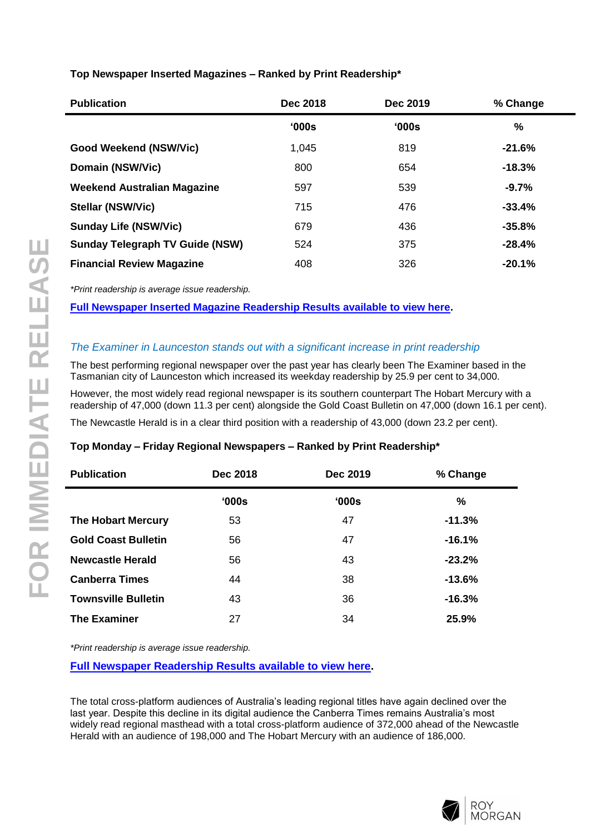## **Top Newspaper Inserted Magazines – Ranked by Print Readership\***

| <b>Publication</b>                     | Dec 2018 | Dec 2019 | % Change      |
|----------------------------------------|----------|----------|---------------|
|                                        | '000s    | '000s    | $\frac{0}{0}$ |
| Good Weekend (NSW/Vic)                 | 1,045    | 819      | $-21.6%$      |
| Domain (NSW/Vic)                       | 800      | 654      | $-18.3%$      |
| <b>Weekend Australian Magazine</b>     | 597      | 539      | $-9.7%$       |
| <b>Stellar (NSW/Vic)</b>               | 715      | 476      | $-33.4%$      |
| <b>Sunday Life (NSW/Vic)</b>           | 679      | 436      | $-35.8%$      |
| <b>Sunday Telegraph TV Guide (NSW)</b> | 524      | 375      | $-28.4%$      |
| <b>Financial Review Magazine</b>       | 408      | 326      | $-20.1%$      |

*\*Print readership is average issue readership.*

**[Full Newspaper Inserted Magazine Readership Results available to view here.](http://www.roymorgan.com/industries/media/readership/insert-readership)**

## *The Examiner in Launceston stands out with a significant increase in print readership*

The best performing regional newspaper over the past year has clearly been The Examiner based in the Tasmanian city of Launceston which increased its weekday readership by 25.9 per cent to 34,000.

However, the most widely read regional newspaper is its southern counterpart The Hobart Mercury with a readership of 47,000 (down 11.3 per cent) alongside the Gold Coast Bulletin on 47,000 (down 16.1 per cent).

The Newcastle Herald is in a clear third position with a readership of 43,000 (down 23.2 per cent).

#### **Top Monday – Friday Regional Newspapers – Ranked by Print Readership\***

| <b>Publication</b>         | Dec 2018 | Dec 2019 |          |
|----------------------------|----------|----------|----------|
|                            | '000s    | '000s    | $\%$     |
| <b>The Hobart Mercury</b>  | 53       | 47       | $-11.3%$ |
| <b>Gold Coast Bulletin</b> | 56       | 47       | $-16.1%$ |
| <b>Newcastle Herald</b>    | 56       | 43       | $-23.2%$ |
| <b>Canberra Times</b>      | 44       | 38       | $-13.6%$ |
| <b>Townsville Bulletin</b> | 43       | 36       | $-16.3%$ |
| <b>The Examiner</b>        | 27       | 34       | 25.9%    |
|                            |          |          |          |

*\*Print readership is average issue readership.*

**[Full Newspaper Readership Results available to view here.](http://www.roymorgan.com/industries/media/readership/newspaper-readership)**

The total cross-platform audiences of Australia's leading regional titles have again declined over the last year. Despite this decline in its digital audience the Canberra Times remains Australia's most widely read regional masthead with a total cross-platform audience of 372,000 ahead of the Newcastle Herald with an audience of 198,000 and The Hobart Mercury with an audience of 186,000.

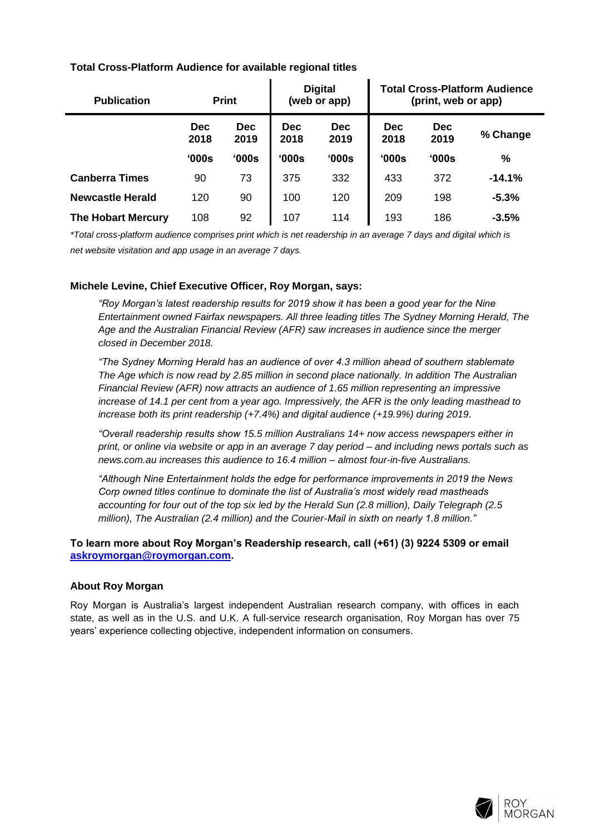## **Total Cross-Platform Audience for available regional titles**

| <b>Publication</b>        |                    | <b>Print</b> | <b>Digital</b><br>(web or app) |                    | <b>Total Cross-Platform Audience</b><br>(print, web or app) |                    |          |
|---------------------------|--------------------|--------------|--------------------------------|--------------------|-------------------------------------------------------------|--------------------|----------|
|                           | <b>Dec</b><br>2018 | Dec.<br>2019 | <b>Dec</b><br>2018             | <b>Dec</b><br>2019 | <b>Dec</b><br>2018                                          | <b>Dec</b><br>2019 | % Change |
|                           | '000s              | 000s         | 000s                           | 000s               | '000s                                                       | '000s              | %        |
| <b>Canberra Times</b>     | 90                 | 73           | 375                            | 332                | 433                                                         | 372                | $-14.1%$ |
| <b>Newcastle Herald</b>   | 120                | 90           | 100                            | 120                | 209                                                         | 198                | $-5.3%$  |
| <b>The Hobart Mercury</b> | 108                | 92           | 107                            | 114                | 193                                                         | 186                | $-3.5%$  |

*\*Total cross-platform audience comprises print which is net readership in an average 7 days and digital which is net website visitation and app usage in an average 7 days.*

### **Michele Levine, Chief Executive Officer, Roy Morgan, says:**

*"Roy Morgan's latest readership results for 2019 show it has been a good year for the Nine Entertainment owned Fairfax newspapers. All three leading titles The Sydney Morning Herald, The Age and the Australian Financial Review (AFR) saw increases in audience since the merger closed in December 2018.*

*"The Sydney Morning Herald has an audience of over 4.3 million ahead of southern stablemate The Age which is now read by 2.85 million in second place nationally. In addition The Australian Financial Review (AFR) now attracts an audience of 1.65 million representing an impressive increase of 14.1 per cent from a year ago. Impressively, the AFR is the only leading masthead to increase both its print readership (+7.4%) and digital audience (+19.9%) during 2019.*

*"Overall readership results show 15.5 million Australians 14+ now access newspapers either in print, or online via website or app in an average 7 day period – and including news portals such as news.com.au increases this audience to 16.4 million – almost four-in-five Australians.*

*"Although Nine Entertainment holds the edge for performance improvements in 2019 the News Corp owned titles continue to dominate the list of Australia's most widely read mastheads accounting for four out of the top six led by the Herald Sun (2.8 million), Daily Telegraph (2.5 million), The Australian (2.4 million) and the Courier-Mail in sixth on nearly 1.8 million."*

#### **To learn more about Roy Morgan's Readership research, call (+61) (3) 9224 5309 or email [askroymorgan@roymorgan.com.](mailto:askroymorgan@roymorgan.com)**

## **About Roy Morgan**

Roy Morgan is Australia's largest independent Australian research company, with offices in each state, as well as in the U.S. and U.K. A full-service research organisation, Roy Morgan has over 75 years' experience collecting objective, independent information on consumers.